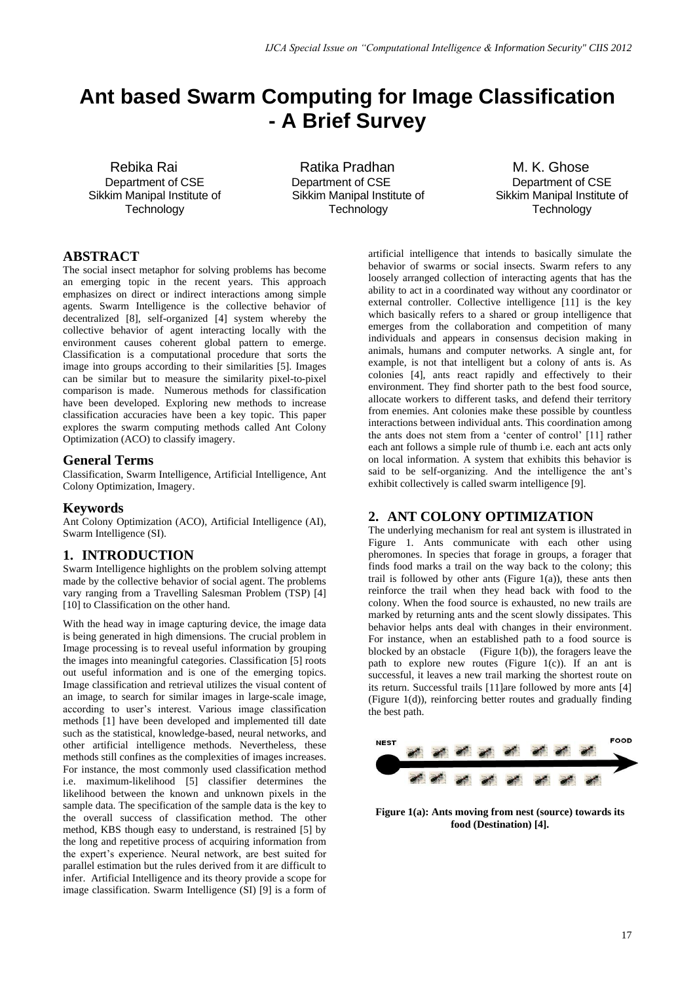# **Ant based Swarm Computing for Image Classification - A Brief Survey**

Rebika Rai Department of CSE Sikkim Manipal Institute of **Technology** 

Ratika Pradhan Department of CSE Sikkim Manipal Institute of **Technology** 

M. K. Ghose Department of CSE Sikkim Manipal Institute of **Technology** 

# **ABSTRACT**

The social insect metaphor for solving problems has become an emerging topic in the recent years. This approach emphasizes on direct or indirect interactions among simple agents. Swarm Intelligence is the collective behavior of decentralized [8], self-organized [4] system whereby the collective behavior of agent interacting locally with the environment causes coherent global pattern to emerge. Classification is a computational procedure that sorts the image into groups according to their similarities [5]. Images can be similar but to measure the similarity pixel-to-pixel comparison is made. Numerous methods for classification have been developed. Exploring new methods to increase classification accuracies have been a key topic. This paper explores the swarm computing methods called Ant Colony Optimization (ACO) to classify imagery.

## **General Terms**

Classification, Swarm Intelligence, Artificial Intelligence, Ant Colony Optimization, Imagery.

## **Keywords**

Ant Colony Optimization (ACO), Artificial Intelligence (AI), Swarm Intelligence (SI).

## **1. INTRODUCTION**

Swarm Intelligence highlights on the problem solving attempt made by the collective behavior of social agent. The problems vary ranging from a Travelling Salesman Problem (TSP) [4] [10] to Classification on the other hand.

With the head way in image capturing device, the image data is being generated in high dimensions. The crucial problem in Image processing is to reveal useful information by grouping the images into meaningful categories. Classification [5] roots out useful information and is one of the emerging topics. Image classification and retrieval utilizes the visual content of an image, to search for similar images in large-scale image, according to user"s interest. Various image classification methods [1] have been developed and implemented till date such as the statistical, knowledge-based, neural networks, and other artificial intelligence methods. Nevertheless, these methods still confines as the complexities of images increases. For instance, the most commonly used classification method i.e. maximum-likelihood [5] classifier determines the likelihood between the known and unknown pixels in the sample data. The specification of the sample data is the key to the overall success of classification method. The other method, KBS though easy to understand, is restrained [5] by the long and repetitive process of acquiring information from the expert's experience. Neural network, are best suited for parallel estimation but the rules derived from it are difficult to infer. Artificial Intelligence and its theory provide a scope for image classification. Swarm Intelligence (SI) [9] is a form of artificial intelligence that intends to basically simulate the behavior of swarms or social insects. Swarm refers to any loosely arranged collection of interacting agents that has the ability to act in a coordinated way without any coordinator or external controller. Collective intelligence [11] is the key which basically refers to a shared or group intelligence that emerges from the collaboration and competition of many individuals and appears in consensus decision making in animals, humans and computer networks. A single ant, for example, is not that intelligent but a colony of ants is. As colonies [4], ants react rapidly and effectively to their environment. They find shorter path to the best food source, allocate workers to different tasks, and defend their territory from enemies. Ant colonies make these possible by countless interactions between individual ants. This coordination among the ants does not stem from a "center of control" [11] rather each ant follows a simple rule of thumb i.e. each ant acts only on local information. A system that exhibits this behavior is said to be self-organizing. And the intelligence the ant's exhibit collectively is called swarm intelligence [9].

## **2. ANT COLONY OPTIMIZATION**

The underlying mechanism for real ant system is illustrated in Figure 1. Ants communicate with each other using pheromones. In species that forage in groups, a forager that finds food marks a trail on the way back to the colony; this trail is followed by other ants (Figure 1(a)), these ants then reinforce the trail when they head back with food to the colony. When the food source is exhausted, no new trails are marked by returning ants and the scent slowly dissipates. This behavior helps ants deal with changes in their environment. For instance, when an established path to a food source is blocked by an obstacle (Figure 1(b)), the foragers leave the path to explore new routes (Figure  $1(c)$ ). If an ant is successful, it leaves a new trail marking the shortest route on its return. Successful trails [11]are followed by more ants [4] (Figure 1(d)), reinforcing better routes and gradually finding the best path.



**Figure 1(a): Ants moving from nest (source) towards its food (Destination) [4].**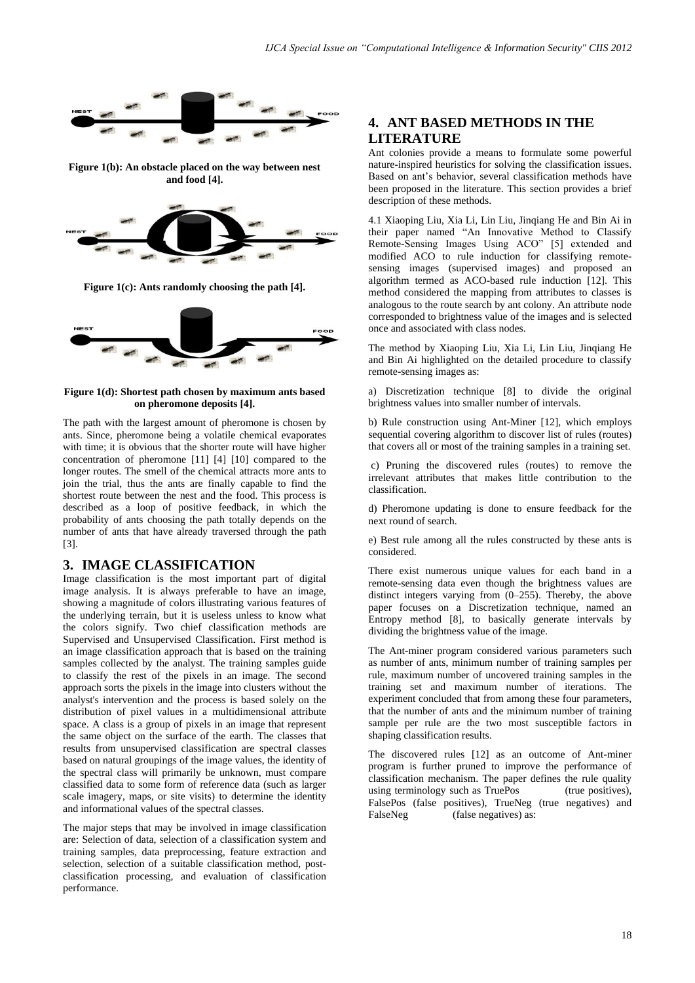

**Figure 1(b): An obstacle placed on the way between nest and food [4].**



**Figure 1(c): Ants randomly choosing the path [4].**



#### **Figure 1(d): Shortest path chosen by maximum ants based on pheromone deposits [4].**

The path with the largest amount of pheromone is chosen by ants. Since, pheromone being a volatile chemical evaporates with time; it is obvious that the shorter route will have higher concentration of pheromone [11] [4] [10] compared to the longer routes. The smell of the chemical attracts more ants to join the trial, thus the ants are finally capable to find the shortest route between the nest and the food. This process is described as a loop of positive feedback, in which the probability of ants choosing the path totally depends on the number of ants that have already traversed through the path [3].

## **3. IMAGE CLASSIFICATION**

Image classification is the most important part of digital image analysis. It is always preferable to have an image, showing a magnitude of colors illustrating various features of the underlying terrain, but it is useless unless to know what the colors signify. Two chief classification methods are Supervised and Unsupervised Classification. First method is an image classification approach that is based on the training samples collected by the analyst. The training samples guide to classify the rest of the pixels in an image. The second approach sorts the pixels in the image into clusters without the analyst's intervention and the process is based solely on the distribution of pixel values in a multidimensional attribute space. A class is a group of pixels in an image that represent the same object on the surface of the earth. The classes that results from unsupervised classification are spectral classes based on natural groupings of the image values, the identity of the spectral class will primarily be unknown, must compare classified data to some form of reference data (such as larger scale imagery, maps, or site visits) to determine the identity and informational values of the spectral classes.

The major steps that may be involved in image classification are: Selection of data, selection of a classification system and training samples, data preprocessing, feature extraction and selection, selection of a suitable classification method, postclassification processing, and evaluation of classification performance.

# **4. ANT BASED METHODS IN THE LITERATURE**

Ant colonies provide a means to formulate some powerful nature-inspired heuristics for solving the classification issues. Based on ant's behavior, several classification methods have been proposed in the literature. This section provides a brief description of these methods.

4.1 Xiaoping Liu, Xia Li, Lin Liu, Jinqiang He and Bin Ai in their paper named "An Innovative Method to Classify Remote-Sensing Images Using ACO" [5] extended and modified ACO to rule induction for classifying remotesensing images (supervised images) and proposed an algorithm termed as ACO-based rule induction [12]. This method considered the mapping from attributes to classes is analogous to the route search by ant colony. An attribute node corresponded to brightness value of the images and is selected once and associated with class nodes.

The method by Xiaoping Liu, Xia Li, Lin Liu, Jinqiang He and Bin Ai highlighted on the detailed procedure to classify remote-sensing images as:

a) Discretization technique [8] to divide the original brightness values into smaller number of intervals.

b) Rule construction using Ant-Miner [12], which employs sequential covering algorithm to discover list of rules (routes) that covers all or most of the training samples in a training set.

c) Pruning the discovered rules (routes) to remove the irrelevant attributes that makes little contribution to the classification.

d) Pheromone updating is done to ensure feedback for the next round of search.

e) Best rule among all the rules constructed by these ants is considered.

There exist numerous unique values for each band in a remote-sensing data even though the brightness values are distinct integers varying from (0–255). Thereby, the above paper focuses on a Discretization technique, named an Entropy method [8], to basically generate intervals by dividing the brightness value of the image.

The Ant-miner program considered various parameters such as number of ants, minimum number of training samples per rule, maximum number of uncovered training samples in the training set and maximum number of iterations. The experiment concluded that from among these four parameters, that the number of ants and the minimum number of training sample per rule are the two most susceptible factors in shaping classification results.

The discovered rules [12] as an outcome of Ant-miner program is further pruned to improve the performance of classification mechanism. The paper defines the rule quality using terminology such as TruePos (true positives), FalsePos (false positives), TrueNeg (true negatives) and FalseNeg (false negatives) as: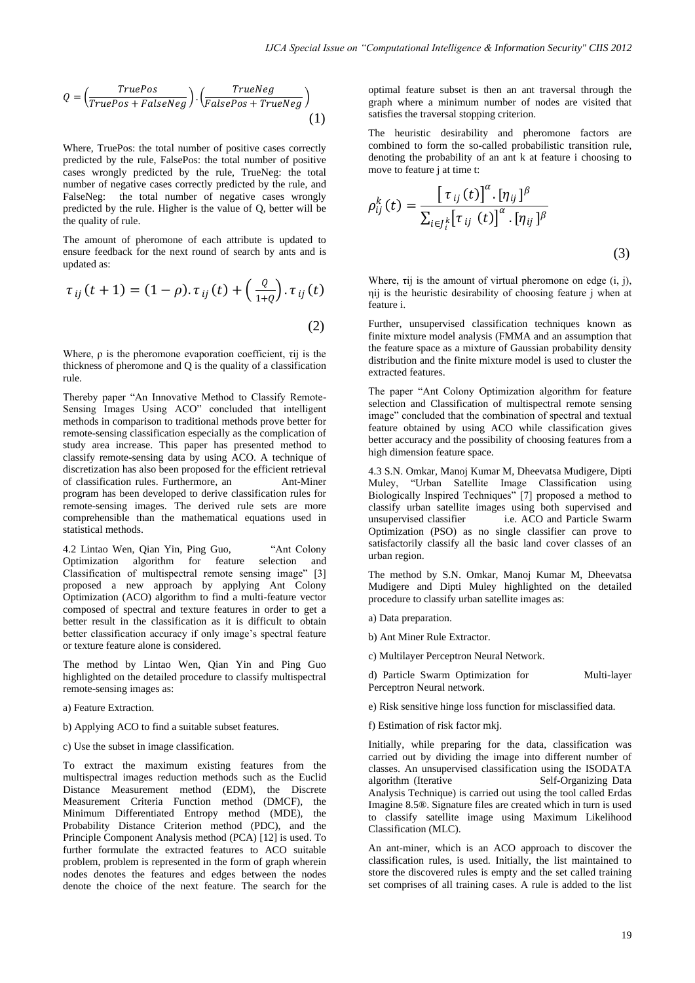$$
Q = \left(\frac{TruePos}{TruePos + FalseNeg}\right) \cdot \left(\frac{TrueNeg}{FalsePos + TrueNeg}\right) \tag{1}
$$

Where, TruePos: the total number of positive cases correctly predicted by the rule, FalsePos: the total number of positive cases wrongly predicted by the rule, TrueNeg: the total number of negative cases correctly predicted by the rule, and FalseNeg: the total number of negative cases wrongly predicted by the rule. Higher is the value of Q, better will be the quality of rule.

The amount of pheromone of each attribute is updated to ensure feedback for the next round of search by ants and is updated as:

$$
\tau_{ij}(t+1) = (1-\rho).\tau_{ij}(t) + \left(\frac{\varrho}{1+\varrho}\right).\tau_{ij}(t)
$$
\n(2)

Where,  $\rho$  is the pheromone evaporation coefficient, τij is the thickness of pheromone and Q is the quality of a classification rule.

Thereby paper "An Innovative Method to Classify Remote-Sensing Images Using ACO" concluded that intelligent methods in comparison to traditional methods prove better for remote-sensing classification especially as the complication of study area increase. This paper has presented method to classify remote-sensing data by using ACO. A technique of discretization has also been proposed for the efficient retrieval of classification rules. Furthermore, an Ant-Miner program has been developed to derive classification rules for remote-sensing images. The derived rule sets are more comprehensible than the mathematical equations used in statistical methods.

4.2 Lintao Wen, Qian Yin, Ping Guo, "Ant Colony Optimization algorithm for feature selection and Classification of multispectral remote sensing image" [3] proposed a new approach by applying Ant Colony Optimization (ACO) algorithm to find a multi-feature vector composed of spectral and texture features in order to get a better result in the classification as it is difficult to obtain better classification accuracy if only image's spectral feature or texture feature alone is considered.

The method by Lintao Wen, Qian Yin and Ping Guo highlighted on the detailed procedure to classify multispectral remote-sensing images as:

- a) Feature Extraction.
- b) Applying ACO to find a suitable subset features.
- c) Use the subset in image classification.

To extract the maximum existing features from the multispectral images reduction methods such as the Euclid Distance Measurement method (EDM), the Discrete Measurement Criteria Function method (DMCF), the Minimum Differentiated Entropy method (MDE), the Probability Distance Criterion method (PDC), and the Principle Component Analysis method (PCA) [12] is used. To further formulate the extracted features to ACO suitable problem, problem is represented in the form of graph wherein nodes denotes the features and edges between the nodes denote the choice of the next feature. The search for the

optimal feature subset is then an ant traversal through the graph where a minimum number of nodes are visited that satisfies the traversal stopping criterion.

The heuristic desirability and pheromone factors are combined to form the so-called probabilistic transition rule, denoting the probability of an ant k at feature i choosing to move to feature j at time t:

$$
\rho_{ij}^k(t) = \frac{\left[\tau_{ij}(t)\right]^\alpha \cdot [\eta_{ij}]^\beta}{\sum_{i \in J_i^k} \left[\tau_{ij}(t)\right]^\alpha \cdot [\eta_{ij}]^\beta}
$$
\n(3)

Where, τij is the amount of virtual pheromone on edge (i, j), ηij is the heuristic desirability of choosing feature j when at feature i.

Further, unsupervised classification techniques known as finite mixture model analysis (FMMA and an assumption that the feature space as a mixture of Gaussian probability density distribution and the finite mixture model is used to cluster the extracted features.

The paper "Ant Colony Optimization algorithm for feature selection and Classification of multispectral remote sensing image" concluded that the combination of spectral and textual feature obtained by using ACO while classification gives better accuracy and the possibility of choosing features from a high dimension feature space.

4.3 S.N. Omkar, Manoj Kumar M, Dheevatsa Mudigere, Dipti Muley, "Urban Satellite Image Classification using Biologically Inspired Techniques" [7] proposed a method to classify urban satellite images using both supervised and i.e. ACO and Particle Swarm Optimization (PSO) as no single classifier can prove to satisfactorily classify all the basic land cover classes of an urban region.

The method by S.N. Omkar, Manoj Kumar M, Dheevatsa Mudigere and Dipti Muley highlighted on the detailed procedure to classify urban satellite images as:

- a) Data preparation.
- b) Ant Miner Rule Extractor.
- c) Multilayer Perceptron Neural Network.

d) Particle Swarm Optimization for Multi-layer Perceptron Neural network.

e) Risk sensitive hinge loss function for misclassified data.

f) Estimation of risk factor mkj.

Initially, while preparing for the data, classification was carried out by dividing the image into different number of classes. An unsupervised classification using the ISODATA algorithm (Iterative Self-Organizing Data Analysis Technique) is carried out using the tool called Erdas Imagine 8.5®. Signature files are created which in turn is used to classify satellite image using Maximum Likelihood Classification (MLC).

An ant-miner, which is an ACO approach to discover the classification rules, is used. Initially, the list maintained to store the discovered rules is empty and the set called training set comprises of all training cases. A rule is added to the list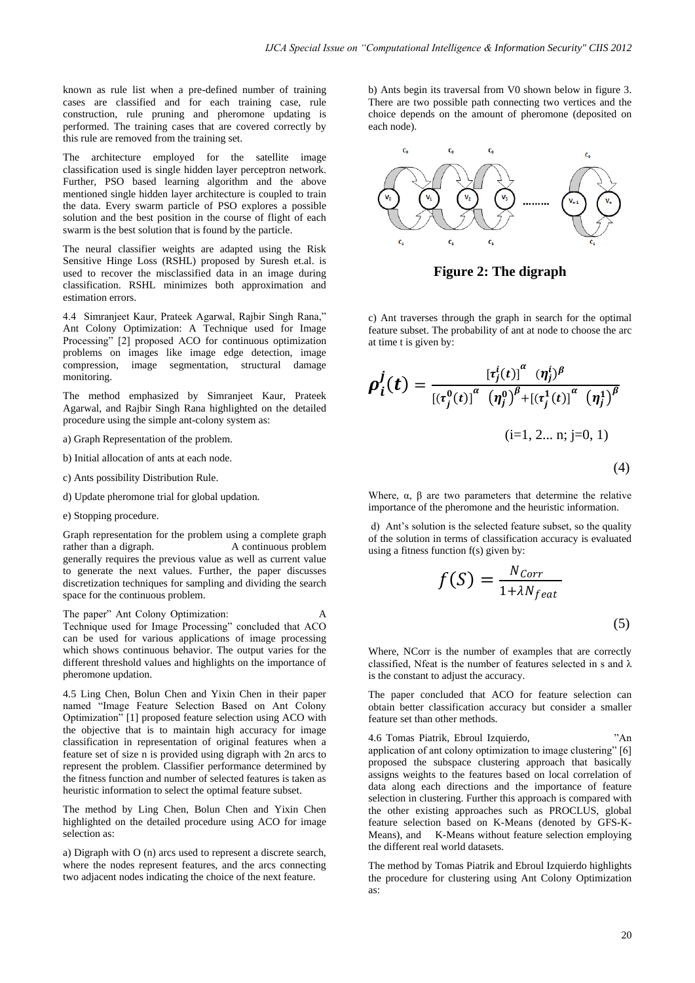known as rule list when a pre-defined number of training cases are classified and for each training case, rule construction, rule pruning and pheromone updating is performed. The training cases that are covered correctly by this rule are removed from the training set.

The architecture employed for the satellite image classification used is single hidden layer perceptron network. Further, PSO based learning algorithm and the above mentioned single hidden layer architecture is coupled to train the data. Every swarm particle of PSO explores a possible solution and the best position in the course of flight of each swarm is the best solution that is found by the particle.

The neural classifier weights are adapted using the Risk Sensitive Hinge Loss (RSHL) proposed by Suresh et.al. is used to recover the misclassified data in an image during classification. RSHL minimizes both approximation and estimation errors.

4.4 Simranjeet Kaur, Prateek Agarwal, Rajbir Singh Rana," Ant Colony Optimization: A Technique used for Image Processing" [2] proposed ACO for continuous optimization problems on images like image edge detection, image compression, image segmentation, structural damage monitoring.

The method emphasized by Simranjeet Kaur, Prateek Agarwal, and Rajbir Singh Rana highlighted on the detailed procedure using the simple ant-colony system as:

- a) Graph Representation of the problem.
- b) Initial allocation of ants at each node.
- c) Ants possibility Distribution Rule.
- d) Update pheromone trial for global updation.
- e) Stopping procedure.

Graph representation for the problem using a complete graph rather than a digraph. A continuous problem generally requires the previous value as well as current value to generate the next values. Further, the paper discusses discretization techniques for sampling and dividing the search space for the continuous problem.

The paper" Ant Colony Optimization: A Technique used for Image Processing" concluded that ACO can be used for various applications of image processing which shows continuous behavior. The output varies for the different threshold values and highlights on the importance of pheromone updation.

4.5 Ling Chen, Bolun Chen and Yixin Chen in their paper named "Image Feature Selection Based on Ant Colony Optimization" [1] proposed feature selection using ACO with the objective that is to maintain high accuracy for image classification in representation of original features when a feature set of size n is provided using digraph with 2n arcs to represent the problem. Classifier performance determined by the fitness function and number of selected features is taken as heuristic information to select the optimal feature subset.

The method by Ling Chen, Bolun Chen and Yixin Chen highlighted on the detailed procedure using ACO for image selection as:

a) Digraph with O (n) arcs used to represent a discrete search, where the nodes represent features, and the arcs connecting two adjacent nodes indicating the choice of the next feature.

b) Ants begin its traversal from V0 shown below in figure 3. There are two possible path connecting two vertices and the choice depends on the amount of pheromone (deposited on each node).



**Figure 2: The digraph**

c) Ant traverses through the graph in search for the optimal feature subset. The probability of ant at node to choose the arc at time t is given by:

$$
\rho_{i}^{j}(t) = \frac{[\tau_{j}^{i}(t)]^{\alpha} (\eta_{j}^{i})^{\beta}}{[(\tau_{j}^{0}(t)]^{\alpha} (\eta_{j}^{0})^{\beta} + [(\tau_{j}^{1}(t)]^{\alpha} (\eta_{j}^{1})^{\beta}]}
$$
\n
$$
(i=1, 2... n; j=0, 1)
$$
\n(4)

Where,  $\alpha$ ,  $\beta$  are two parameters that determine the relative importance of the pheromone and the heuristic information.

d) Ant"s solution is the selected feature subset, so the quality of the solution in terms of classification accuracy is evaluated using a fitness function f(s) given by:

$$
f(S) = \frac{N_{Corr}}{1 + \lambda N_{feat}}
$$
\n<sup>(5)</sup>

Where, NCorr is the number of examples that are correctly classified, Nfeat is the number of features selected in s and  $\lambda$ is the constant to adjust the accuracy.

The paper concluded that ACO for feature selection can obtain better classification accuracy but consider a smaller feature set than other methods.

4.6 Tomas Piatrik, Ebroul Izquierdo, "An application of ant colony optimization to image clustering" [6] proposed the subspace clustering approach that basically assigns weights to the features based on local correlation of data along each directions and the importance of feature selection in clustering. Further this approach is compared with the other existing approaches such as PROCLUS, global feature selection based on K-Means (denoted by GFS-K-Means), and K-Means without feature selection employing the different real world datasets.

The method by Tomas Piatrik and Ebroul Izquierdo highlights the procedure for clustering using Ant Colony Optimization as: